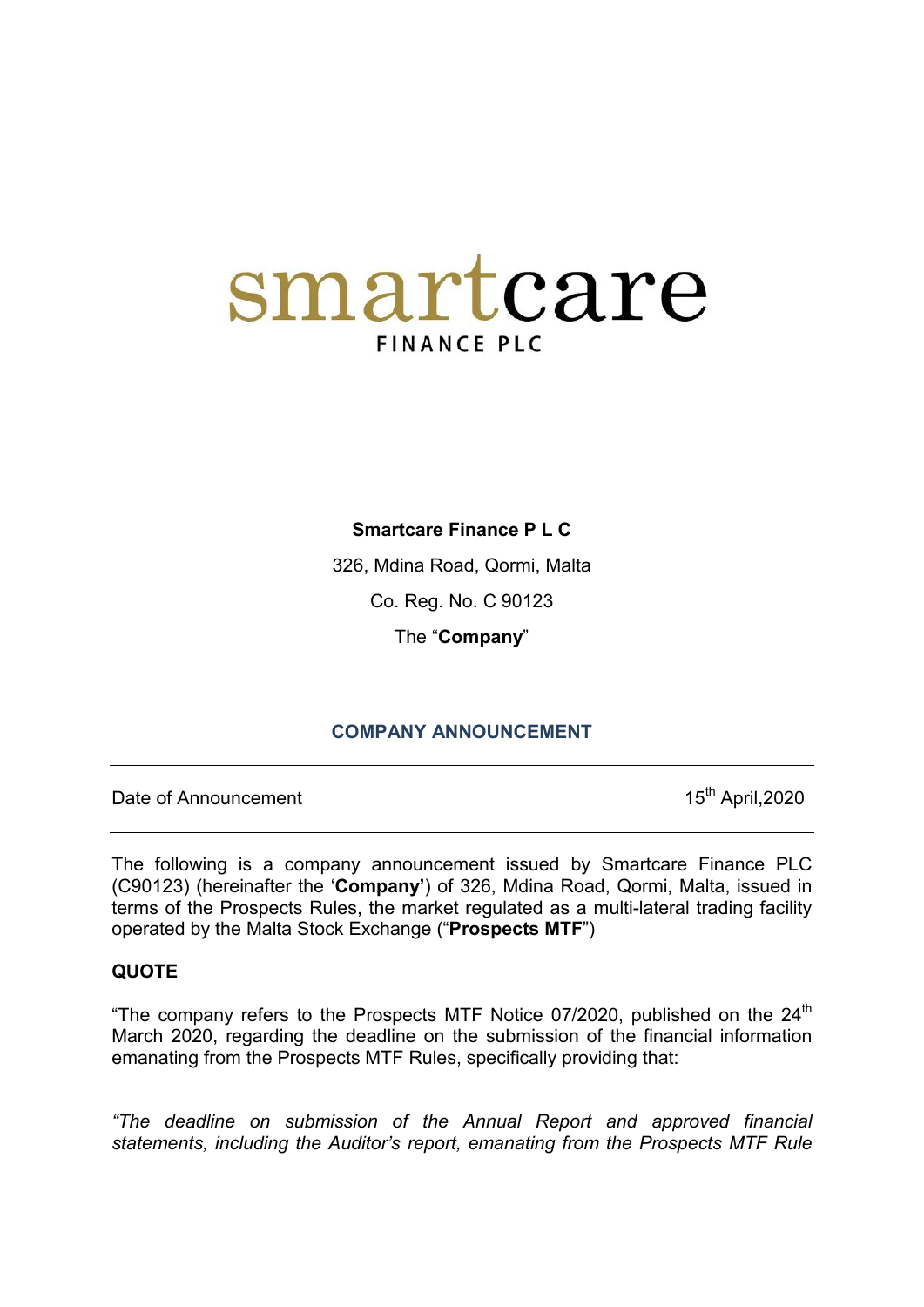# smartcare **FINANCE PLC**

## **Smartcare Finance P L C**

326, Mdina Road, Qormi, Malta

Co. Reg. No. C 90123

The "**Company**"

## **COMPANY ANNOUNCEMENT**

Date of Announcement 15<sup>th</sup> April,2020

The following is a company announcement issued by Smartcare Finance PLC (C90123) (hereinafter the '**Company'**) of 326, Mdina Road, Qormi, Malta, issued in terms of the Prospects Rules, the market regulated as a multi-lateral trading facility operated by the Malta Stock Exchange ("**Prospects MTF**")

### **QUOTE**

"The company refers to the Prospects MTF Notice 07/2020, published on the  $24<sup>th</sup>$ March 2020, regarding the deadline on the submission of the financial information emanating from the Prospects MTF Rules, specifically providing that:

*"The deadline on submission of the Annual Report and approved financial statements, including the Auditor's report, emanating from the Prospects MTF Rule*